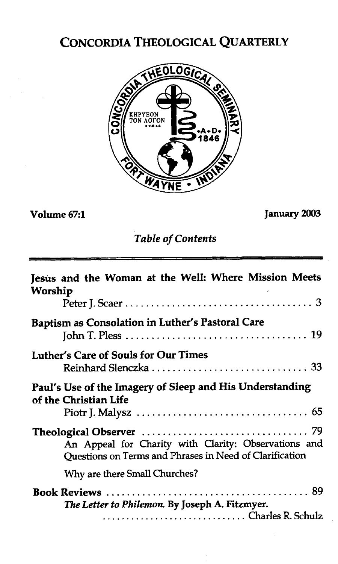# CONCORDIA THEOLOGICAL QUARTERLY



**Volume 67:l January** *2003* 

*Table of Contents* 

| Jesus and the Woman at the Well: Where Mission Meets<br>Worship                                                 |
|-----------------------------------------------------------------------------------------------------------------|
| <b>Baptism as Consolation in Luther's Pastoral Care</b>                                                         |
| Luther's Care of Souls for Our Times                                                                            |
| Paul's Use of the Imagery of Sleep and His Understanding<br>of the Christian Life                               |
| An Appeal for Charity with Clarity: Observations and<br>Ouestions on Terms and Phrases in Need of Clarification |
| Why are there Small Churches?                                                                                   |
| The Letter to Philemon. By Joseph A. Fitzmyer.                                                                  |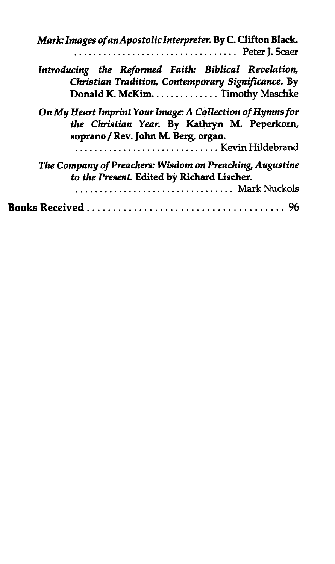| Mark: Images of an Apostolic Interpreter. By C. Clifton Black.                                                                                                       |
|----------------------------------------------------------------------------------------------------------------------------------------------------------------------|
| Introducing the Reformed Faith: Biblical Revelation,<br>Christian Tradition, Contemporary Significance. By<br>Donald K. McKim. Timothy Maschke                       |
| On My Heart Imprint Your Image: A Collection of Hymns for<br>the Christian Year. By Kathryn M. Peperkorn,<br>soprano / Rev. John M. Berg, organ.<br>Kevin Hildebrand |
| The Company of Preachers: Wisdom on Preaching, Augustine<br>to the Present. Edited by Richard Lischer.<br>Mark Nuckols                                               |
|                                                                                                                                                                      |

 $\mathfrak{f}$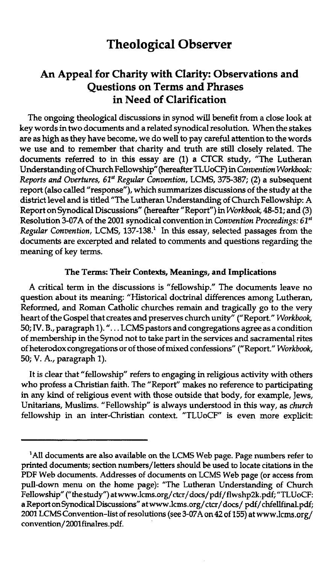# **Theological Observer**

# **An Appeal for Charity with Clarity: Observations and Questions on Terms and Phrases in Need of Clarification**

The ongoing theological discussions in synod will benefit from a close look at key words in two documents and a related synodical resolution. When the stakes are as high as they have become, we do well to pay careful attention to the words we use and to remember that charity and truth are still closely related. The documents referred to in this essay are (1) a CTCR study, "The Lutheran Understanding of Church Fellowship" (hereafter TLUoCF) in Convention Workbook: Reports and Overtures, *61"* Regular Convention, LCMS, 375-387; (2) a subsequent report (also called "response"), which summarizes discussions of the study at the district level and is titled "The Lutheran Understanding of Church Fellowship: A Report on Synodical Discussions" (hereafter "Report") in Workbook, 48-51; and (3) Resolution 3-07A of the 2001 synodical convention in *Convention Proceedings*:  $61^{st}$ Regular Convention, LCMS, 137-138.<sup>1</sup> In this essay, selected passages from the documents are excerpted and related to comments and questions regarding the meaning of key terms.

#### **The Terms: Their Contexts, Meanings, and Implications**

A critical term in the discussions is "fellowship." The documents leave no question about its meaning: "Historical doctrinal differences among Lutheran, Reformed, and Roman Catholic churches remain and tragically go to the very heart of the Gospel that creates and preserves church unity" ("Report." Workbook, 50; **IV.** B., paragraph 1). ". . . LCMS pastors and congregations agree as a condition of membership in the Synod not to take part in the services and sacramental rites of heterodox congregations or of those of mixed confessions" ("Report." Workbook, 50; V. A., paragraph 1).

It is clear that "fellowship" refers to engaging in religious activity with others who profess a Christian faith. The "Report" makes no reference to participating in any kind of religious event with those outside that body, for example, Jews, Unitarians, Muslims. "Fellowship" is always understood in this way, as church fellowship in an inter-Christian context. "TLUoCF" is even more explicit:

<sup>&#</sup>x27;All documents are also available on the LCMS Web page. Page numbers refer to printed documents; section numbers/letters should be used to locate citations in the **PDF** Web documents. Addresses of documents on LCMS Web page (or access from pull-down menu on the home page): "The Lutheran Understanding of Church Fellowship" ("the study") **atwww.lcrns.org/ctcr/docs/pdf/flwshp2k.pdf;** "TLUoCF: a Report on Synodical Discussions" at www.lcms.org/ctcr/docs/pdf/chfellfinal.pdf; 2001 LCMS Convention-list of resolutions (see 3-07A on 42 of 155) at www.lcms.org/ convention/ 2001finalres.pdf.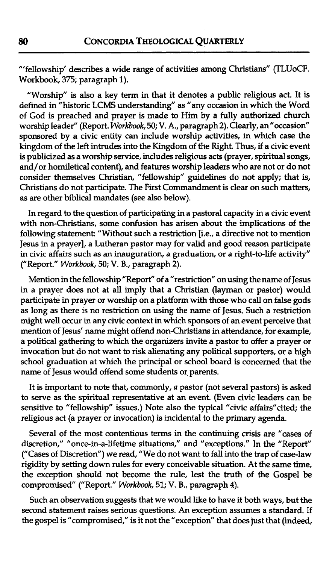"'fellowship' describes a wide range of activities among Christians" (TLUoCF. Workbook, 375; paragraph 1).

"Worship" is also a key term in that it denotes a public religious act. It is defined in "historic LCMS understanding" as "any occasion in which the Word of God is preached and prayer is made to Him by a fully authorized church worship leader" (Report. Workbook, 50; V. A., paragraph 2). Clearly, an "occasion" sponsored by a civic entity can include worship activities, in which case the kingdom of the left intrudes into the Kingdom of the Right. **Thus,** if a civic event is publicized as a worship service, includes religious acts (prayer, spiritual songs, and/or homiletical content), and features worship leaders who are not or do not consider themselves Christian, "fellowship" guidelines do not apply; that is, Christians do not participate. The First Commandment is clear on such matters, as are other biblical mandates (see also below).

In regard to the question of participating in a pastoral capacity in a civic event with non-Christians, some confusion has arisen about the implications of the following statement: "Without such a restriction [i.e., a directive not to mention Jesus in a prayer], a Lutheran pastor may for valid and good reason participate in civic affairs such as an inauguration, a graduation, or a right-to-life activity" ("Report." Workbook, 50; V. B., paragraph 2).

Mention in the fellowship "Report" of a "restriction" on using the name of Jesus in a prayer does not at all imply that a Christian (layman or pastor) would participate in prayer or worship on a platform with those who call on false gods as long as there is no restriction on using the name of Jesus. Such a restriction might well occur in any civic context in which sponsors of an event perceive that mention of Jesus' name might offend non-Christians in attendance, for example, a political gathering to which the organizers invite a pastor to offer a prayer or invocation but do not want to **risk** alienating any political supporters, or a high school graduation at which the principal or school board is concerned that the name of Jesus would offend some students or parents.

It is important to note that, commonly, a pastor (not several pastors) is asked to serve as the spiritual representative at an event. (Even civic leaders can be sensitive to "fellowship" issues.) Note also the typical "civic affairs" cited; the religious act (a prayer or invocation) is incidental to the primary agenda.

Several of the most contentious terms in the continuing crisis are "cases of discretion," "once-in-a-lifetime situations," and "exceptions." In the "Report" ("Cases of Discretion") we read, "We do not want to fall into the trap of case-law rigidity by setting down rules for every conceivable situation. At the same time, the exception should not become the rule, lest the truth of the Gospel be compromised" ("Report." Workbook, 51; V. B., paragraph 4).

Such an observation suggests that we would like to have it both ways, but the second statement raises serious questions. An exception assumes a standard. If the gospel is "compromised," is it not the "exception" that does just that (indeed,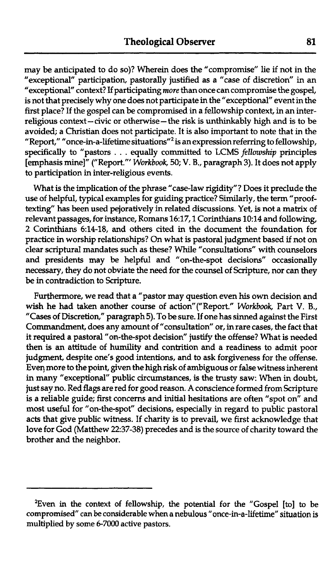may be anticipated to do so)? Wherein does the "compromise" lie if not in the "exceptional" participation, pastorally justified as a "case of discretion" in an "exceptional" context? If participating *more* than once can compromise the gospel, is not that precisely why one does not participate in the "exceptional" event in the first place? If the gospel can be compromised in a fellowship context, in an interreligious context-civic or otherwise-the risk is unthinkably high and is to be avoided; a Christian does not participate. It is also important to note that in the  $\sim$  report," " once-in-a-lifetime situations"<sup>2</sup> is an expression referring to fellowship, specifically to "pastors . . . equally committed to LCMS **fellowship** principles [emphasis mine]" ("Report."' *Workbook,* 50; V. *B.,* paragraph 3). It does not apply to participation in inter-religious events.

What is the implication of the phrase "case-law rigidity"? Does it preclude the use of helpful, typical examples for guiding practice? Similarly, the term "prooftexting" has been used pejoratively in related discussions. Yet, is not a matrix of relevant passages, for instance, Romans 16:17,1 Corinthians 10:14 and following, 2 Corinthians 6:14-18, and others cited in the document the foundation for practice in worship relationships? On what is pastoral judgment based if not on clear scriptural mandates such as these? While "consultations" with counselors and presidents may be helpful and "on-the-spot decisions" occasionally necessary, they do not obviate the need for the counsel of Scripture, nor can they be in contradiction to Scripture.

Furthermore, we read that a "pastor may question even his own decision and wish he had taken another course of action"("Report." *Workbook,* Part V. *B.,*  "Cases of Discretion," paragraph 5). To be sure. If one has sinned against the First Commandment, does any amount of "consultation" or, in rare cases, the fact that it required a pastoral "on-the-spot decision" jushfy the offense? What is needed then is an attitude of humility and contrition and a readiness to admit poor judgment, despite one's good intentions, and to ask forgiveness for the offense. Even more to the point, given the high risk of ambiguous or false witness inherent in many "exceptional" public circumstances, is the trusty saw: When in doubt, just say no. Red flags are red for good reason. A conscience formed from Scripture is a reliable guide; first concerns and initial hesitations are often "spot on" and most useful for "on-the-spot" decisions, especially in regard to public pastoral acts that give public witness. If charity is to prevail, we first acknowledge that love for God (Matthew 2237-38) precedes and is the source of charity toward the brother and the neighbor.

<sup>&</sup>lt;sup>2</sup>Even in the context of fellowship, the potential for the "Gospel [to] to be compromised" can be considerable when a nebulous "once-in-a-lifetime" situation is multiplied by some 6-7000 active pastors.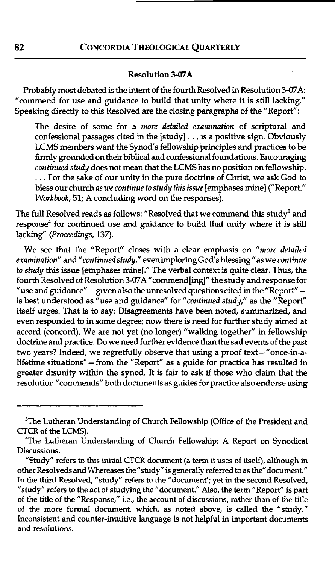### CONCORDIA THEOLOGICAL QUARTERLY

#### **Resolution 3-07A**

Probably most debated is the intent of the fourth Resolved in Resolution **3-07A:**  "commend for use and guidance to build that unity where it is still lacking." Speaking directly to this Resolved are the closing paragraphs of the "Report":

The desire of some for a *more detailed examination* of scriptural and confessional passages cited in the [study] . . . is a positive sign. Obviously LCMS members want the Synod's fellowship principles and practices to be firmly grounded on their biblical and confessional foundations. Encouraging *continued study* does not mean that the LCMS has no position on fellowship. . . . For the sake of our unity in the pure docttine of Christ, we ask God to bless our church *as we continue to study this issue* [emphases mine] ("Report." *Workbook,* 51; A concluding word on the responses).

The full Resolved reads as follows: "Resolved that we commend this study<sup>3</sup> and response<sup>4</sup> for continued use and guidance to build that unity where it is still lacking" *(Proceedings,* 137).

We see that the "Report" closes with a clear emphasis on *"more detailed examination"* and *"continued study,"* evenimploring God's blessing "as we *continue to study* this issue [emphases mine]." The verbal context is quite clear. Thus, the fourth Resolved of Resolution 3-07A "commend[ing]" the study and response for<br>"use and guidance" – given also the unresolved questions cited in the "Report" – "use and guidance" - given also the unresolved questions cited in the "Report" - is best understood as "use and guidance" for *"continued study,"* as the "Report" itself urges. That is to say: Disagreements have been noted, summarized, and even responded to in some degree; now there is need for further study aimed at accord (concord). We are not yet (no longer) "walking together" in fellowship doctrine and practice. Do we need further evidence **than** the sad events of the past two years? Indeed, we regretfully observe that using a proof text-"once-in-alifetime situations" -from the "Report" as a guide for practice has resulted in greater disunity within the synod. It is fair to ask if those who claim that the resolution "commends" both documents as guides for practice also endorse using

<sup>&</sup>lt;sup>3</sup>The Lutheran Understanding of Church Fellowship (Office of the President and CTCR of the LCMS).

<sup>&</sup>quot;The Lutheran Understanding of Church Fellowship: A Report on Synodical Discussions.

<sup>&</sup>quot;Study" refers to this initial CTCR document (a **term** it uses of itself), although in other Resolveds and Whereases the "study" is generally referred to as the "document." In the third Resolved, "study" refers to the "document'; yet in the second Resolved, "study" refers to the act of studying the "document." Also, the **term** "Report" is part of the title of the "Response," i.e., the account of discussions, rather than of the title of the more formal document, which, as noted above, is called the "study." Inconsistent and counter-intuitive language is not helpful in important documents and resolutions.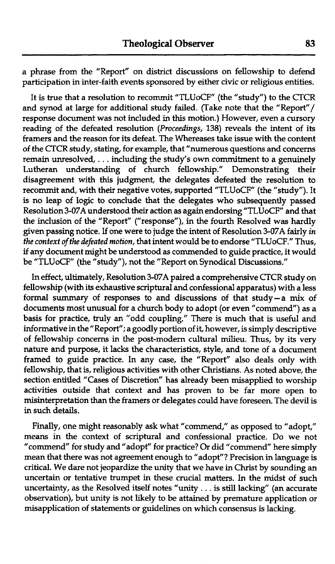a phrase from the "Report" on district discussions on fellowship to defend participation in inter-faith events sponsored by either civic or religious entities.

It is true that a resolution to recommit "TLUoCF" (the "study") to the CTCR and synod at large for additional study failed. (Take note that the "Report"/ response document was not included in this motion.) However, even a cursory reading of the defeated resolution (Proceedings, 138) reveals the intent of its framers and the reason for its defeat. The Whereases take issue with the content of the CTCR study, stating, for example, that "numerous questions and concerns remain unresolved, . . . including the study's own commitment to a genuinely<br>Lutheran understanding of church fellowship." Demonstrating their Lutheran understanding of church fellowship." Demonstrating disagreement with this judgment, the delegates defeated the resolution to recommit and, with their negative votes, supported "TLUoCF" (the "study"). It is no leap of logic to conclude that the delegates who subsequently passed Resolution 3-07A understood their action as again endorsing "TLUoCF" and that the inclusion of the "Report" ("response"), in the fourth Resolved was hardly given passing notice. If one were to judge the intent of Resolution 3-07A fairly *in* the context of the defeated motion, that intent would be to endorse "TLUoCF." Thus, if any document might be understood as commended to guide practice, it would be "TLUoCF" (the "study"), not the "Report on Synodical Discussions."

In effect, ultimately, Resolution 3-07A paired a comprehensive CTCR study on fellowship (with its exhaustive scriptural and confessional apparatus) with a less formal summary of responses to and discussions of that study-a mix of documents most unusual for a church body to adopt (or even "commend") as a basis for practice, truly an "odd coupling." There is much that is useful and informative in the "Report"; a goodly portion of it, however, is simply descriptive of fellowship concerns in the post-modern cultural milieu. Thus, by its very nature and purpose, it lacks the characteristics, style, and tone of a document framed to guide practice. In any case, the "Report" also deals only with fellowship, that is, religious activities with other Christians. As noted above, the section entitled "Cases of Discretion" has already been misapplied to worship activities outside that context and has proven to be far more open to misinterpretation than the framers or delegates could have foreseen. The devil is in such details.

Finally, one might reasonably ask what "commend," as opposed to "adopt," means in the context of scriptural and confessional practice. Do we not "commend" for study and "adopt" for practice? Or did "commend" here simply mean that there was not agreement enough to "adopt"? Precision in language is critical. We dare not jeopardize the unity that we have in Christ by sounding an uncertain or tentative trumpet in these crucial matters. In the midst of such uncertainty, as the Resolved itself notes "unity . . . is still lacking" (an accurate observation), but unity is not likely to be attained by premature application or misapplication of statements or guidelines on which consensus is lacking.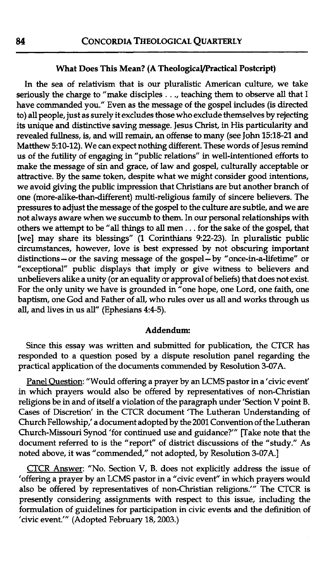### What Does This Mean? (A Theological/Practical Postcript)

In the sea of relativism that is our pluralistic American culture, we take seriously the charge to "make disciples . . ., teaching them to observe **all** that I have commanded you." Even as the message of the gospel includes (is directed to) all people, just as surely it excludes those who exclude themselves by rejecting its unique and distinctive saving message. Jesus Christ, in **His** particularity and revealed fullness, is, and will remain, an offense to many (see John 15:18-21 and Matthew 510-12). We can expect nothing different. These words of Jesus remind us of the futility of engaging in "public relations" in well-intentioned efforts to make the message of sin and grace, of law and gospel, culturally acceptable or attractive. By the same token, despite what we might consider good intentions, we avoid giving the public impression that Christians are but another branch of one (more-alike-than-different) multi-religious family of sincere believers. The pressures to adjust the message of the gospel to the culture are subtle, and we are not always aware when we succumb to them. In our personal relationships with others we attempt to be "all things to **all** men . . . for the sake of the gospel, that [we] may share its blessings" (1 Corinthians 922-23). In pluralistic public circumstances, however, love is best expressed by not obscuring important distinctions - or the saving message of the gospel- by "once-in-a-lifetime" or "exceptional" public displays that imply or give witness to believers and unbelievers alike a unity (or an equality or approval of beliefs) that does not exist. For the only unity we have is grounded in "one hope, one Lord, one faith, one baptism, one God and Father of all, who rules over us all and works through us all, and lives in us all" (Ephesians 4:4-5).

#### Addendum:

Since this essay was written and submitted for publication, the CTCR has responded to a question posed by a dispute resolution panel regarding the practical application of the documents commended by Resolution 3-07A.

Panel Question: "Would offering a prayer by an LCMS pastor in a 'civic event' in which prayers would also be offered by representatives of non-Christian religions be in and of itself a violation of the paragraph under 'Section V point B. Cases of Discretion' in the CTCR document 'The Lutheran Understanding of Church Fellowship,' a document adopted by the 2001 Convention of the Lutheran Church-Missouri Synod 'for continued use and guidance?'" [Take note that the document referred to is the "report" of district discussions of the "study." As noted above, it was "commended," not adopted, by Resolution 3-07A.l

CTCR Answer: "No. Section V, B. does not explicitly address the issue of 'offering a prayer by an LCMS pastor in a "civic event" in which prayers would also be offered by representatives of non-Christian religions."' The CTCR is presently considering assignments with respect to this issue, including the formulation of guidelines for participation in civic events and the definition of 'civic event.'" (Adopted February 18, 2003.)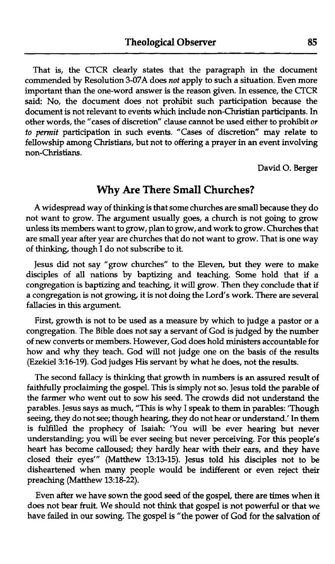That is, the CTCR clearly states that the paragraph in the document commended by Resolution 3-07A does *not* apply to such a situation. Even more important than the one-word answer is the reason given. In essence, the CTCR said: No, the document does not prohibit such participation because the document is not relevant to events which include non-Christian participants. In other words, the "cases of discretion" clause cannot be used either to prohibit or *to pennit* participation in such events. "Cases of discretion" may relate to fellowship among Christians, but not to offering a prayer in an event involving non-Christians.

David **0.** Berger

## **Why Are There Small Churches?**

A widespread way of thinking is that some churches are small because they do not want to grow. The argument usually goes, a church is not going to grow unless its members want to grow, plan to grow, and work to grow. Churches that are small year after year are churches that do not want to grow. That is one way of **thinking,** though I do not subscribe to it.

Jesus did not say "grow churches" to the Eleven, but they were to make disciples of all nations by baptizing and teaching. Some hold that if a congregation is baptizing and teaching, it will grow. Then they conclude that if a congregation is not growing, it is not doing the Lord's work. There are several fallacies in this argument.

First, growth is not to be used as a measure by which to judge a pastor or a congregation. The Bible does not say a servant of God is judged by the number of new converts or members. However, God does hold ministers accountable for how and why they teach. God will not judge one on the basis of the results (Ezekiel 3:16-19). God judges **His** servant by what he does, not the results.

The second fallacy is **thinking** that growth in numbers is an assured result of faithfully proclaiming the gospel. This is simply not so. Jesus told the parable of the farmer who went out to sow his seed. The crowds did not understand the parables. Jesus says as much, "This is why I speak to them in parables: 'Though seeing, they do not see; though hearing, they do not hear or understand.' In them is fulfilled the prophecy of Isaiah: 'You will be ever hearing but never understanding; you will be ever seeing but never perceiving. For this people's heart has become calloused; they hardly hear with their ears, and they have closed their eyes"' (Matthew 13:13-15). Jesus told **his** disciples not to be disheartened when many people would be indifferent or even reject their preaching (Matthew 13:18-22).

Even after we have sown the good seed of the gospel, there are times when it does not bear fruit. We should not **think** that gospel is not powerful or that we have failed in our sowing. The gospel is "the power of God for the salvation of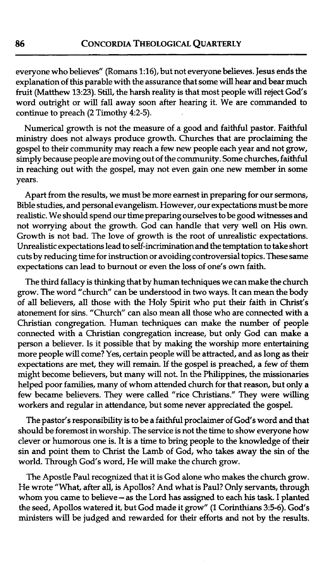everyone who believes" (Romans 1:16), but not everyone believes. Jesus ends the explanation of this parable with the assurance that some will hear and bear much fruit (Matthew **1323).** Still, the harsh reality is that most people will reject God's word outright or will fall away soon after hearing it. We are commanded to continue to preach **(2** Timothy **42-5).** 

Numerical growth is not the measure of a good and faithful pastor. Faithful ministry does not always produce growth. Churches that are proclaiming the gospel to their community may reach a few new people each year and not grow, simply because people are moving out of the community. Some churches, faithful in reaching out with the gospel, may not even gain one new member in some years.

Apart from the results, we must be more earnest in preparing for our sermons, Bible studies, and personal evangelism. However, our expectations must be more realistic. We should spend our time preparing ourselves to be good witnesses and not worrying about the growth. God can handle that very well on His own. Growth is not bad. The love of growth is the root of unrealistic expectations. Unrealistic expectations lead to self-incrimination and the temptation to take short cuts by reducing time for instruction or avoiding controversial topics. These same expectations can lead to burnout or even the loss of one's own faith.

The third fallacy is thinking that by human techniques we can make the church grow. The word "church" can be understood in two ways. It can mean the body of **all** believers, all those with the Holy Spirit who put their faith in Christ's atonement for sins. "Church" can also mean all those who are connected with a Christian congregation. Human techniques can make the number of people connected with a Christian congregation increase, but only God can make a person a believer. Is it possible that by making the worship more entertaining more people will come? Yes, certain people will be attracted, and as long as their expectations are met, they will remain. If the gospel is preached, a few of them might become believers, but many will not. In the Philippines, the missionaries helped poor families, many of whom attended church for that reason, but only a few became believers. They were called "rice Christians." They were willing workers and regular in attendance, but some never appreciated the gospel.

The pastor's responsibility is to be a faithful proclaimer of God's word and that should be foremost in worship. The service is not the time to show everyone how clever or humorous one is. It is a time to bring people to the knowledge of their sin and point them to Christ the Lamb of God, who takes away the sin of the world. Through God's word, He will make the church grow.

The Apostle Paul recognized that it is God alone who makes the church grow. He wrote "What, after all, is Apollos? And what is Paul? Only servants, through whom you came to believe- as the Lord has assigned to each **his** task. I planted the seed, Apollos watered it, but God made it grow" (1 Corinthians 3:5-6). God's ministers will be judged and rewarded for their efforts and not by the results.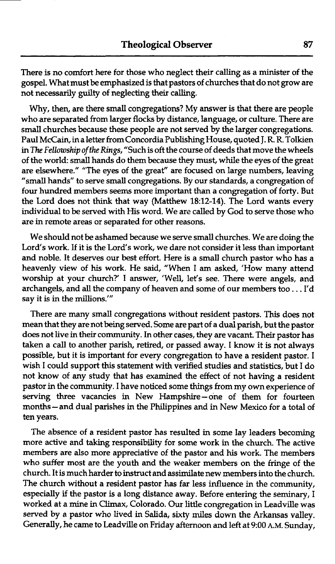There is no comfort here for those who neglect their calling as a minister of the gospel. What must be emphasized is that pastors of churches that do not grow are not necessarily gudty of neglecting their calling.

Why, then, are there small congregations? My answer is that there are people who are separated from larger flocks by distance, language, or culture. There are small churches because these people are not served by the larger congregations. Paul McCain, in a letter from Concordia Publishing House, quoted J. R. R. Tolkien in The Fellowship of the Rings, "Such is oft the course of deeds that move the wheels of the world: small hands do them because they must, while the eyes of the great are elsewhere." "The eyes of the great" are focused on large numbers, leaving "small hands" to serve small congregations. By our standards, a congregation of four hundred members seems more important than a congregation of forty. But the Lord does not **think** that way (Matthew **18:12-14).** The Lord wants every individual to be served with His word. We are called by God to serve those who are in remote areas or separated for other reasons.

We should not be ashamed because we serve small churches. We are doing the Lord's work. If it is the Lord's work, we dare not consider it less than important and noble. It deserves our best effort. Here is a small church pastor who has a heavenly view of his work. He said, "When I am asked, 'How many attend worship at your church?' I answer, 'Well, let's see. There were angels, and archangels, and all the company of heaven and some of our members too . . . I'd say it is in the millions.'"

There are many small congregations without resident pastors. This does not mean that they are not being served. Some are part of a dual parish, but the pastor does not live in their community. In other cases, they are vacant. Their pastor has taken a call to another parish, retired, or passed away. I know it is not always possible, but it is important for every congregation to have a resident pastor. I wish I could support this statement with verified studies and statistics, but I do not know of any study that has examined the effect of not having a resident pastor in the community. I have noticed some things from my own experience of serving three vacancies in New Hampshire-one of them for fourteen months - and dual parishes in the Philippines and in New Mexico for a total of ten years.

The absence of a resident pastor has resulted in some lay leaders becoming more active and taking responsibility for some work in the church. The active members are also more appreciative of the pastor and his work. The members who suffer most are the youth and the weaker members on the fringe of the church. It is much harder to instruct and assimilate new members into the church. The church without a resident pastor has far less influence in the community, especially if the pastor is a long distance away. Before entering the seminary, I worked at a mine in Climax, Colorado. Our little congregation in Leadville was served by a pastor who lived in Salida, sixty **miles** down the Arkansas valley. Generally, he came to Leadville on Friday afternoon and left at **9:00** A.M. Sunday,